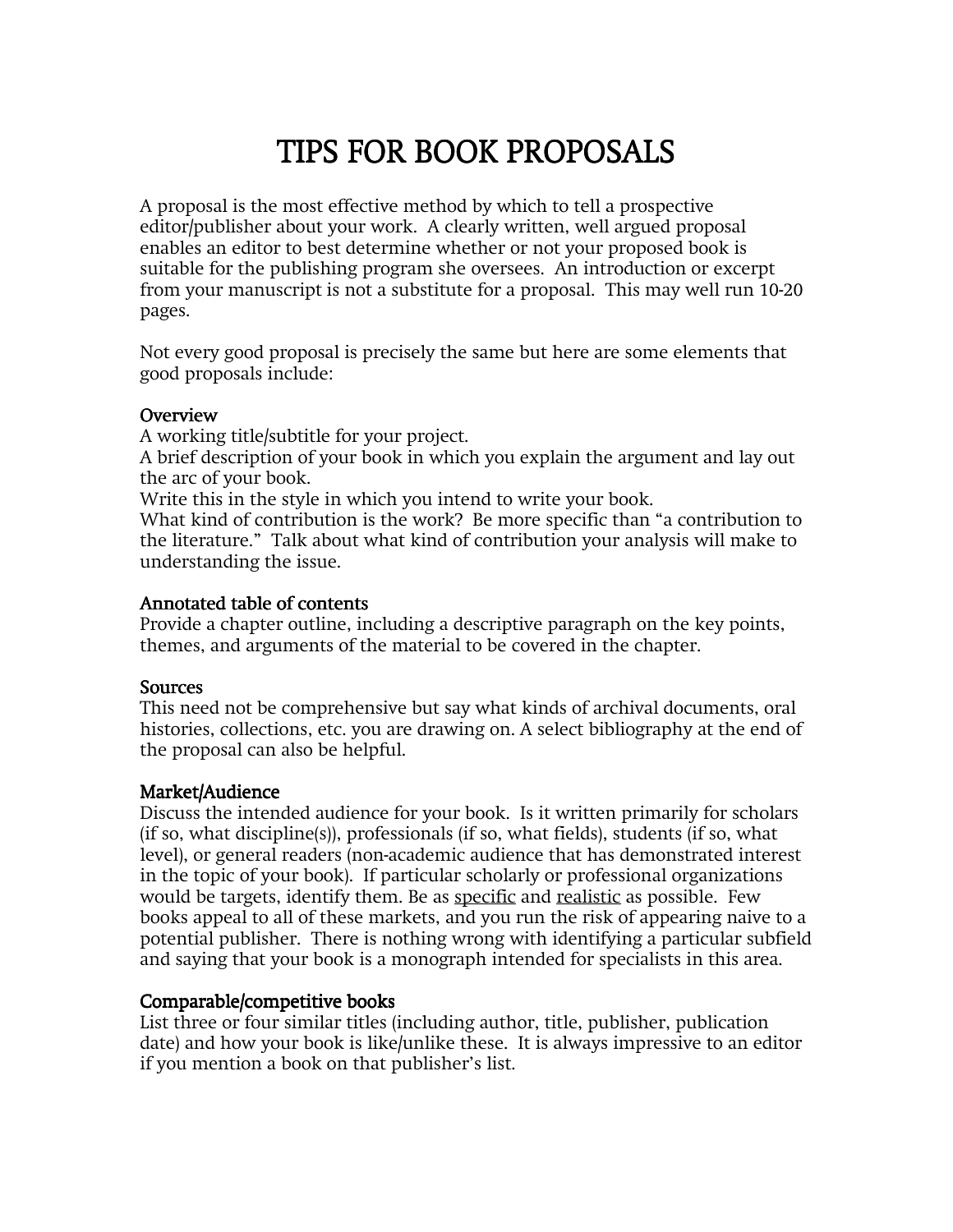# TIPS FOR BOOK PROPOSALS TIPS FOR BOOK PROPOSALS

A proposal is the most effective method by which to tell a prospective editor/publisher about your work. A clearly written, well argued proposal enables an editor to best determine whether or not your proposed book is suitable for the publishing program she oversees. An introduction or excerpt from your manuscript is not a substitute for a proposal. This may well run 10-20 pages.

Not every good proposal is precisely the same but here are some elements that good proposals include:

#### **Overview**

A working title/subtitle for your project.

A brief description of your book in which you explain the argument and lay out the arc of your book.

Write this in the style in which you intend to write your book.

What kind of contribution is the work? Be more specific than "a contribution to the literature." Talk about what kind of contribution your analysis will make to understanding the issue.

#### Annotated table of contents

Provide a chapter outline, including a descriptive paragraph on the key points, themes, and arguments of the material to be covered in the chapter.

# **Sources**

This need not be comprehensive but say what kinds of archival documents, oral histories, collections, etc. you are drawing on. A select bibliography at the end of the proposal can also be helpful.

# Market/Audience

Discuss the intended audience for your book. Is it written primarily for scholars (if so, what discipline(s)), professionals (if so, what fields), students (if so, what level), or general readers (non-academic audience that has demonstrated interest in the topic of your book). If particular scholarly or professional organizations would be targets, identify them. Be as specific and realistic as possible. Few books appeal to all of these markets, and you run the risk of appearing naive to a potential publisher. There is nothing wrong with identifying a particular subfield and saying that your book is a monograph intended for specialists in this area.

# Comparable/competitive books

List three or four similar titles (including author, title, publisher, publication date) and how your book is like/unlike these. It is always impressive to an editor if you mention a book on that publisher's list.